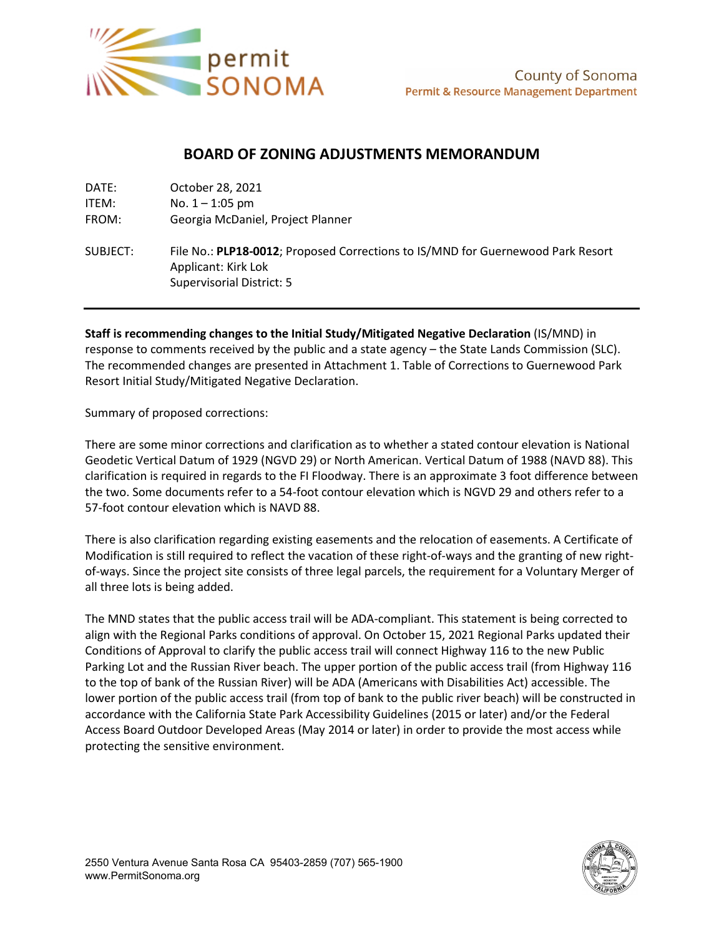

## **BOARD OF ZONING ADJUSTMENTS MEMORANDUM**

| DATE:    | October 28, 2021                                                                                                                           |
|----------|--------------------------------------------------------------------------------------------------------------------------------------------|
| ITEM:    | No. $1 - 1:05$ pm                                                                                                                          |
| FROM:    | Georgia McDaniel, Project Planner                                                                                                          |
| SUBJECT: | File No.: PLP18-0012; Proposed Corrections to IS/MND for Guernewood Park Resort<br>Applicant: Kirk Lok<br><b>Supervisorial District: 5</b> |

**Staff is recommending changes to the Initial Study/Mitigated Negative Declaration** (IS/MND) in response to comments received by the public and a state agency – the State Lands Commission (SLC). The recommended changes are presented in Attachment 1. Table of Corrections to Guernewood Park Resort Initial Study/Mitigated Negative Declaration.

Summary of proposed corrections:

There are some minor corrections and clarification as to whether a stated contour elevation is National Geodetic Vertical Datum of 1929 (NGVD 29) or North American. Vertical Datum of 1988 (NAVD 88). This clarification is required in regards to the FI Floodway. There is an approximate 3 foot difference between the two. Some documents refer to a 54-foot contour elevation which is NGVD 29 and others refer to a 57-foot contour elevation which is NAVD 88.

There is also clarification regarding existing easements and the relocation of easements. A Certificate of Modification is still required to reflect the vacation of these right-of-ways and the granting of new rightof-ways. Since the project site consists of three legal parcels, the requirement for a Voluntary Merger of all three lots is being added.

The MND states that the public access trail will be ADA-compliant. This statement is being corrected to align with the Regional Parks conditions of approval. On October 15, 2021 Regional Parks updated their Conditions of Approval to clarify the public access trail will connect Highway 116 to the new Public Parking Lot and the Russian River beach. The upper portion of the public access trail (from Highway 116 to the top of bank of the Russian River) will be ADA (Americans with Disabilities Act) accessible. The lower portion of the public access trail (from top of bank to the public river beach) will be constructed in accordance with the California State Park Accessibility Guidelines (2015 or later) and/or the Federal Access Board Outdoor Developed Areas (May 2014 or later) in order to provide the most access while protecting the sensitive environment.